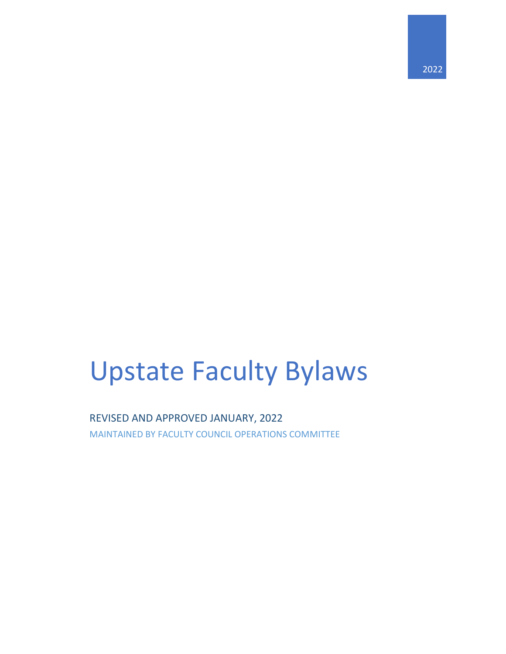# Upstate Faculty Bylaws

REVISED AND APPROVED JANUARY, 2022 MAINTAINED BY FACULTY COUNCIL OPERATIONS COMMITTEE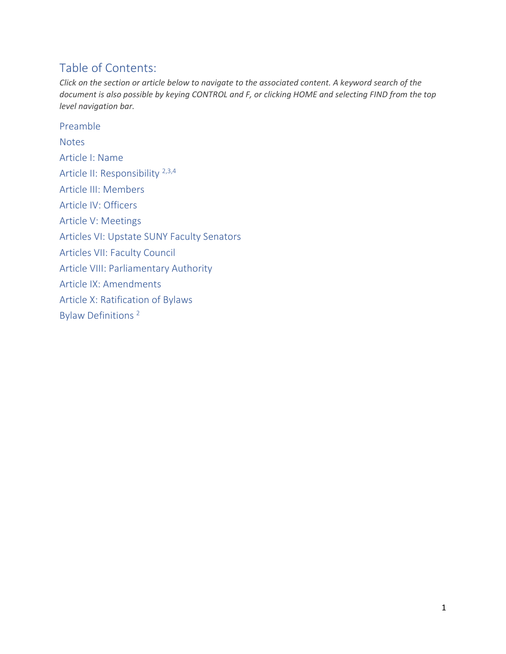# Table of Contents:

*Click on the section or article below to navigate to the associated content. A keyword search of the document is also possible by keying CONTROL and F, or clicking HOME and selecting FIND from the top level navigation bar.*

[Preamble](#page-2-0) **[Notes](#page-3-0)** [Article I: Name](#page-4-0) Article II: [Responsibility 2,3,4](#page-4-1) [Article III: Members](#page-4-2) Article [IV: Officers](#page-4-3) [Article V: Meetings](#page-4-4) [Articles VI: Upstate SUNY Faculty Senators](#page-5-0) [Articles VII: Faculty Council](#page-7-0) [Article VIII: Parliamentary Authority](#page-15-0) [Article IX: Amendments](#page-15-1) [Article X: Ratification of Bylaws](#page-16-0) Bylaw [Definitions](#page-17-0) <sup>2</sup>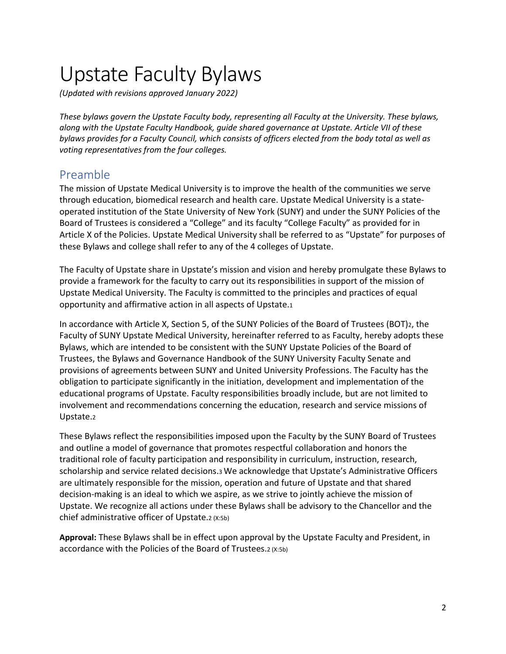# Upstate Faculty Bylaws

*(Updated with revisions approved January 2022)*

*These bylaws govern the Upstate Faculty body, representing all Faculty at the University. These bylaws, along with the Upstate Faculty Handbook, guide shared governance at Upstate. Article VII of these bylaws provides for a Faculty Council, which consists of officers elected from the body total as well as voting representatives from the four colleges.*

## <span id="page-2-0"></span>Preamble

The mission of Upstate Medical University is to improve the health of the communities we serve through education, biomedical research and health care. Upstate Medical University is a stateoperated institution of the State University of New York (SUNY) and under the SUNY Policies of the Board of Trustees is considered a "College" and its faculty "College Faculty" as provided for in Article X of the Policies. Upstate Medical University shall be referred to as "Upstate" for purposes of these Bylaws and college shall refer to any of the 4 colleges of Upstate.

The Faculty of Upstate share in Upstate's mission and vision and hereby promulgate these Bylaws to provide a framework for the faculty to carry out its responsibilities in support of the mission of Upstate Medical University. The Faculty is committed to the principles and practices of equal opportunity and affirmative action in all aspects of Upstate.1

In accordance with Article X, Section 5, of the SUNY Policies of the Board of Trustees (BOT)2, the Faculty of SUNY Upstate Medical University, hereinafter referred to as Faculty, hereby adopts these Bylaws, which are intended to be consistent with the SUNY Upstate Policies of the Board of Trustees, the Bylaws and Governance Handbook of the SUNY University Faculty Senate and provisions of agreements between SUNY and United University Professions. The Faculty has the obligation to participate significantly in the initiation, development and implementation of the educational programs of Upstate. Faculty responsibilities broadly include, but are not limited to involvement and recommendations concerning the education, research and service missions of Upstate.2

These Bylaws reflect the responsibilities imposed upon the Faculty by the SUNY Board of Trustees and outline a model of governance that promotes respectful collaboration and honors the traditional role of faculty participation and responsibility in curriculum, instruction, research, scholarship and service related decisions.3 We acknowledge that Upstate's Administrative Officers are ultimately responsible for the mission, operation and future of Upstate and that shared decision-making is an ideal to which we aspire, as we strive to jointly achieve the mission of Upstate. We recognize all actions under these Bylaws shall be advisory to the Chancellor and the chief administrative officer of Upstate.2 (X:5b)

**Approval:** These Bylaws shall be in effect upon approval by the Upstate Faculty and President, in accordance with the Policies of the Board of Trustees.2 (X:5b)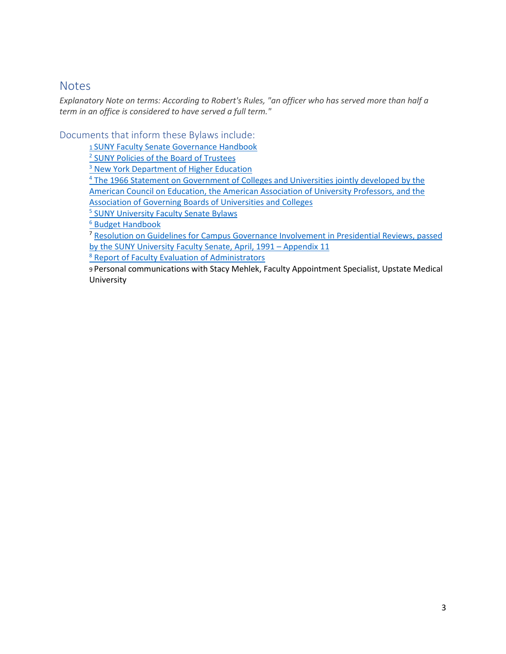## <span id="page-3-0"></span>**Notes**

*Explanatory Note on terms: According to Robert's Rules, "an officer who has served more than half a term in an office is considered to have served a full term."*

Documents that inform these Bylaws include:

[1 SUNY Faculty Senate Governance Handbook](https://system.suny.edu/media/suny/content-assets/documents/faculty-senate/GovHandbook-Final-2013.pdf)

<sup>2</sup> [SUNY Policies of the Board of Trustees](http://usny.nysed.gov/regulations.html)

<sup>3</sup> [New York Department of Higher Education](http://usny.nysed.gov/regulations.html)

<sup>4</sup> [The 1966 Statement on Government of Colleges and Universities jointly developed by the](https://www.aaup.org/report/statement-government-colleges-and-universities)  [American Council on Education, the American Association of University Professors, and the](https://www.aaup.org/report/statement-government-colleges-and-universities)  [Association of Governing Boards of Universities and Colleges](https://www.aaup.org/report/statement-government-colleges-and-universities)

<sup>5</sup> [SUNY University Faculty Senate Bylaws](https://system.suny.edu/media/suny/content-assets/documents/faculty-senate/Bylaws2002version.pdf)

<sup>6</sup> [Budget Handbook](https://system.suny.edu/media/suny/content-assets/documents/faculty-senate/Budget-handbook-2012.pdf)

<sup>7</sup> Resolution on Guidelines for Campus Governance Involvement in Presidential Reviews, passed [by the SUNY University Faculty Senate, April, 1991](https://system.suny.edu/media/suny/content-assets/documents/faculty-senate/FacultySenateGovernanceHandbookFinal-version-8-21-08.pdf) – Appendix 11

<sup>8</sup> [Report of Faculty Evaluation of Administrators](https://system.suny.edu/media/suny/content-assets/documents/faculty-senate/FacultyEvaluation.pdf)

9 Personal communications with Stacy Mehlek, Faculty Appointment Specialist, Upstate Medical University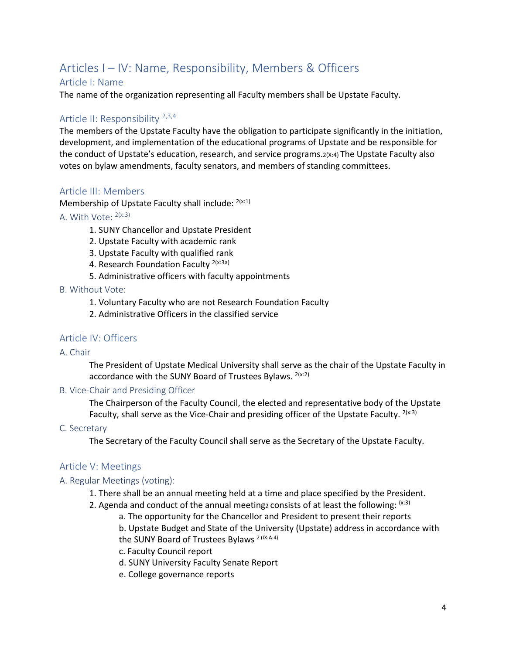# Articles I – IV: Name, Responsibility, Members & Officers

## <span id="page-4-0"></span>Article I: Name

The name of the organization representing all Faculty members shall be Upstate Faculty.

## <span id="page-4-1"></span>Article II: Responsibility <sup>2,3,4</sup>

The members of the Upstate Faculty have the obligation to participate significantly in the initiation, development, and implementation of the educational programs of Upstate and be responsible for the conduct of Upstate's education, research, and service programs.  $2(X:4)$  The Upstate Faculty also votes on bylaw amendments, faculty senators, and members of standing committees.

## <span id="page-4-2"></span>Article III: Members

Membership of Upstate Faculty shall include: 2(x:1)

- A. With Vote: 2(x:3)
	- 1. SUNY Chancellor and Upstate President
	- 2. Upstate Faculty with academic rank
	- 3. Upstate Faculty with qualified rank
	- 4. Research Foundation Faculty <sup>2(x:3a)</sup>
	- 5. Administrative officers with faculty appointments

#### B. Without Vote:

- 1. Voluntary Faculty who are not Research Foundation Faculty
- 2. Administrative Officers in the classified service

## <span id="page-4-3"></span>Article IV: Officers

#### A. Chair

The President of Upstate Medical University shall serve as the chair of the Upstate Faculty in accordance with the SUNY Board of Trustees Bylaws. 2(x:2)

#### B. Vice-Chair and Presiding Officer

The Chairperson of the Faculty Council, the elected and representative body of the Upstate Faculty, shall serve as the Vice-Chair and presiding officer of the Upstate Faculty.  $2(x:3)$ 

#### C. Secretary

The Secretary of the Faculty Council shall serve as the Secretary of the Upstate Faculty.

#### <span id="page-4-4"></span>Article V: Meetings

#### A. Regular Meetings (voting):

- 1. There shall be an annual meeting held at a time and place specified by the President.
- 2. Agenda and conduct of the annual meetingz consists of at least the following:  $(x3)$ 
	- a. The opportunity for the Chancellor and President to present their reports

b. Upstate Budget and State of the University (Upstate) address in accordance with the SUNY Board of Trustees Bylaws<sup>2 (IX:A:4)</sup>

- c. Faculty Council report
- d. SUNY University Faculty Senate Report
- e. College governance reports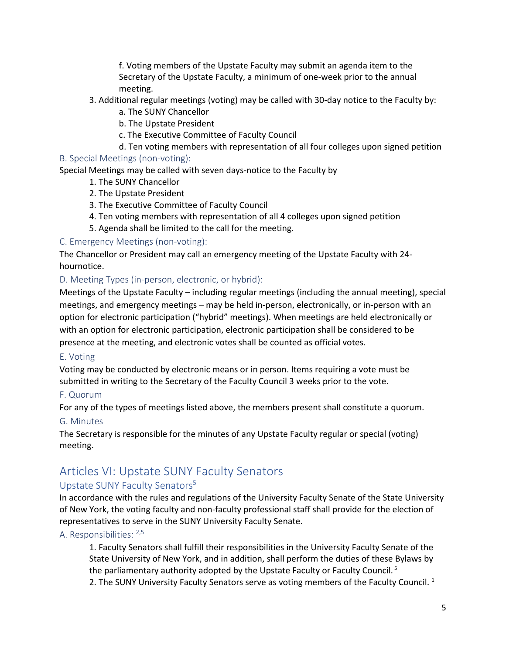f. Voting members of the Upstate Faculty may submit an agenda item to the Secretary of the Upstate Faculty, a minimum of one-week prior to the annual meeting.

- 3. Additional regular meetings (voting) may be called with 30-day notice to the Faculty by:
	- a. The SUNY Chancellor
	- b. The Upstate President
	- c. The Executive Committee of Faculty Council
	- d. Ten voting members with representation of all four colleges upon signed petition

### B. Special Meetings (non-voting):

Special Meetings may be called with seven days-notice to the Faculty by

- 1. The SUNY Chancellor
- 2. The Upstate President
- 3. The Executive Committee of Faculty Council
- 4. Ten voting members with representation of all 4 colleges upon signed petition
- 5. Agenda shall be limited to the call for the meeting.

#### C. Emergency Meetings (non-voting):

The Chancellor or President may call an emergency meeting of the Upstate Faculty with 24 hournotice.

#### D. Meeting Types (in-person, electronic, or hybrid):

Meetings of the Upstate Faculty – including regular meetings (including the annual meeting), special meetings, and emergency meetings – may be held in-person, electronically, or in-person with an option for electronic participation ("hybrid" meetings). When meetings are held electronically or with an option for electronic participation, electronic participation shall be considered to be presence at the meeting, and electronic votes shall be counted as official votes.

#### E. Voting

Voting may be conducted by electronic means or in person. Items requiring a vote must be submitted in writing to the Secretary of the Faculty Council 3 weeks prior to the vote.

#### F. Quorum

For any of the types of meetings listed above, the members present shall constitute a quorum.

#### G. Minutes

The Secretary is responsible for the minutes of any Upstate Faculty regular or special (voting) meeting.

# <span id="page-5-0"></span>Articles VI: Upstate SUNY Faculty Senators

## Upstate SUNY Faculty Senators<sup>5</sup>

In accordance with the rules and regulations of the University Faculty Senate of the State University of New York, the voting faculty and non-faculty professional staff shall provide for the election of representatives to serve in the SUNY University Faculty Senate.

#### A. Responsibilities: 2,5

1. Faculty Senators shall fulfill their responsibilities in the University Faculty Senate of the State University of New York, and in addition, shall perform the duties of these Bylaws by the parliamentary authority adopted by the Upstate Faculty or Faculty Council. <sup>5</sup> 2. The SUNY University Faculty Senators serve as voting members of the Faculty Council.  $1$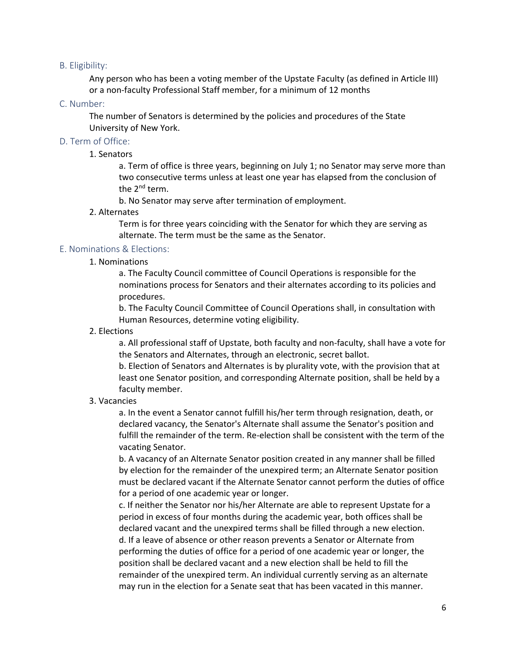#### B. Eligibility:

Any person who has been a voting member of the Upstate Faculty (as defined in Article III) or a non-faculty Professional Staff member, for a minimum of 12 months

#### C. Number:

The number of Senators is determined by the policies and procedures of the State University of New York.

#### D. Term of Office:

#### 1. Senators

a. Term of office is three years, beginning on July 1; no Senator may serve more than two consecutive terms unless at least one year has elapsed from the conclusion of the 2<sup>nd</sup> term.

b. No Senator may serve after termination of employment.

#### 2. Alternates

Term is for three years coinciding with the Senator for which they are serving as alternate. The term must be the same as the Senator.

#### E. Nominations & Elections:

#### 1. Nominations

a. The Faculty Council committee of Council Operations is responsible for the nominations process for Senators and their alternates according to its policies and procedures.

b. The Faculty Council Committee of Council Operations shall, in consultation with Human Resources, determine voting eligibility.

#### 2. Elections

a. All professional staff of Upstate, both faculty and non-faculty, shall have a vote for the Senators and Alternates, through an electronic, secret ballot.

b. Election of Senators and Alternates is by plurality vote, with the provision that at least one Senator position, and corresponding Alternate position, shall be held by a faculty member.

#### 3. Vacancies

a. In the event a Senator cannot fulfill his/her term through resignation, death, or declared vacancy, the Senator's Alternate shall assume the Senator's position and fulfill the remainder of the term. Re-election shall be consistent with the term of the vacating Senator.

b. A vacancy of an Alternate Senator position created in any manner shall be filled by election for the remainder of the unexpired term; an Alternate Senator position must be declared vacant if the Alternate Senator cannot perform the duties of office for a period of one academic year or longer.

c. If neither the Senator nor his/her Alternate are able to represent Upstate for a period in excess of four months during the academic year, both offices shall be declared vacant and the unexpired terms shall be filled through a new election. d. If a leave of absence or other reason prevents a Senator or Alternate from performing the duties of office for a period of one academic year or longer, the position shall be declared vacant and a new election shall be held to fill the remainder of the unexpired term. An individual currently serving as an alternate may run in the election for a Senate seat that has been vacated in this manner.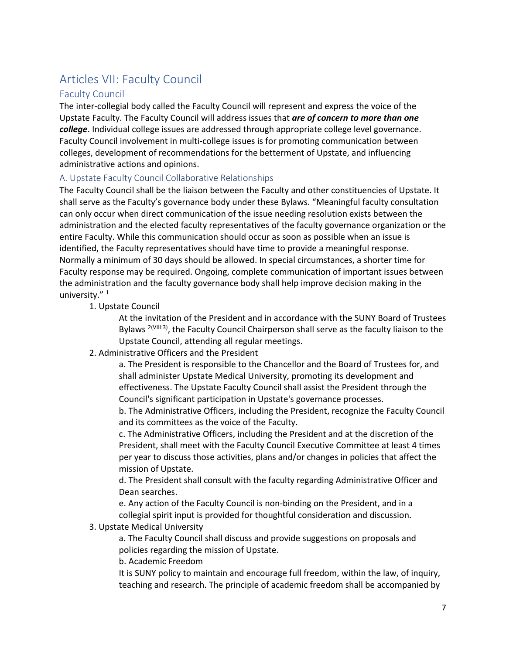# <span id="page-7-0"></span>Articles VII: Faculty Council

## Faculty Council

The inter-collegial body called the Faculty Council will represent and express the voice of the Upstate Faculty. The Faculty Council will address issues that *are of concern to more than one college*. Individual college issues are addressed through appropriate college level governance. Faculty Council involvement in multi-college issues is for promoting communication between colleges, development of recommendations for the betterment of Upstate, and influencing administrative actions and opinions.

## A. Upstate Faculty Council Collaborative Relationships

The Faculty Council shall be the liaison between the Faculty and other constituencies of Upstate. It shall serve as the Faculty's governance body under these Bylaws. "Meaningful faculty consultation can only occur when direct communication of the issue needing resolution exists between the administration and the elected faculty representatives of the faculty governance organization or the entire Faculty. While this communication should occur as soon as possible when an issue is identified, the Faculty representatives should have time to provide a meaningful response. Normally a minimum of 30 days should be allowed. In special circumstances, a shorter time for Faculty response may be required. Ongoing, complete communication of important issues between the administration and the faculty governance body shall help improve decision making in the university."<sup>1</sup>

#### 1. Upstate Council

At the invitation of the President and in accordance with the SUNY Board of Trustees Bylaws  $2^{(VIII:3)}$ , the Faculty Council Chairperson shall serve as the faculty liaison to the Upstate Council, attending all regular meetings.

#### 2. Administrative Officers and the President

a. The President is responsible to the Chancellor and the Board of Trustees for, and shall administer Upstate Medical University, promoting its development and effectiveness. The Upstate Faculty Council shall assist the President through the Council's significant participation in Upstate's governance processes.

b. The Administrative Officers, including the President, recognize the Faculty Council and its committees as the voice of the Faculty.

c. The Administrative Officers, including the President and at the discretion of the President, shall meet with the Faculty Council Executive Committee at least 4 times per year to discuss those activities, plans and/or changes in policies that affect the mission of Upstate.

d. The President shall consult with the faculty regarding Administrative Officer and Dean searches.

e. Any action of the Faculty Council is non-binding on the President, and in a collegial spirit input is provided for thoughtful consideration and discussion.

#### 3. Upstate Medical University

a. The Faculty Council shall discuss and provide suggestions on proposals and policies regarding the mission of Upstate.

b. Academic Freedom

It is SUNY policy to maintain and encourage full freedom, within the law, of inquiry, teaching and research. The principle of academic freedom shall be accompanied by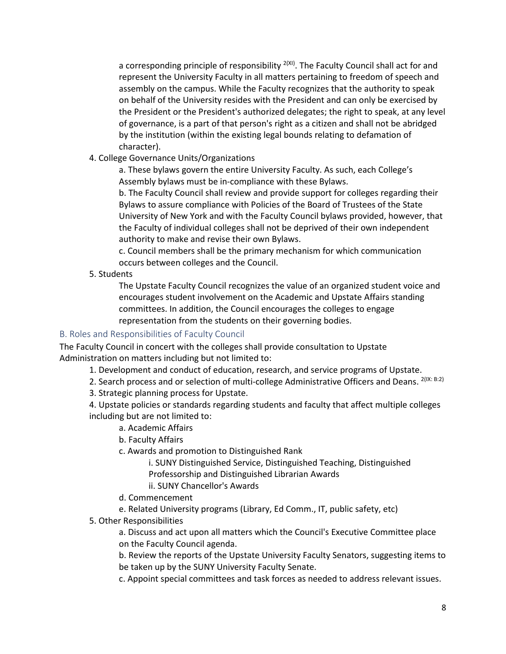a corresponding principle of responsibility  $2(XI)$ . The Faculty Council shall act for and represent the University Faculty in all matters pertaining to freedom of speech and assembly on the campus. While the Faculty recognizes that the authority to speak on behalf of the University resides with the President and can only be exercised by the President or the President's authorized delegates; the right to speak, at any level of governance, is a part of that person's right as a citizen and shall not be abridged by the institution (within the existing legal bounds relating to defamation of character).

4. College Governance Units/Organizations

a. These bylaws govern the entire University Faculty. As such, each College's Assembly bylaws must be in-compliance with these Bylaws.

b. The Faculty Council shall review and provide support for colleges regarding their Bylaws to assure compliance with Policies of the Board of Trustees of the State University of New York and with the Faculty Council bylaws provided, however, that the Faculty of individual colleges shall not be deprived of their own independent authority to make and revise their own Bylaws.

c. Council members shall be the primary mechanism for which communication occurs between colleges and the Council.

5. Students

The Upstate Faculty Council recognizes the value of an organized student voice and encourages student involvement on the Academic and Upstate Affairs standing committees. In addition, the Council encourages the colleges to engage representation from the students on their governing bodies.

## B. Roles and Responsibilities of Faculty Council

The Faculty Council in concert with the colleges shall provide consultation to Upstate Administration on matters including but not limited to:

1. Development and conduct of education, research, and service programs of Upstate.

2. Search process and or selection of multi-college Administrative Officers and Deans. <sup>2(IX: B:2)</sup>

3. Strategic planning process for Upstate.

4. Upstate policies or standards regarding students and faculty that affect multiple colleges including but are not limited to:

- a. Academic Affairs
- b. Faculty Affairs

c. Awards and promotion to Distinguished Rank

i. SUNY Distinguished Service, Distinguished Teaching, Distinguished Professorship and Distinguished Librarian Awards

- ii. SUNY Chancellor's Awards
- d. Commencement

e. Related University programs (Library, Ed Comm., IT, public safety, etc)

5. Other Responsibilities

a. Discuss and act upon all matters which the Council's Executive Committee place on the Faculty Council agenda.

b. Review the reports of the Upstate University Faculty Senators, suggesting items to be taken up by the SUNY University Faculty Senate.

c. Appoint special committees and task forces as needed to address relevant issues.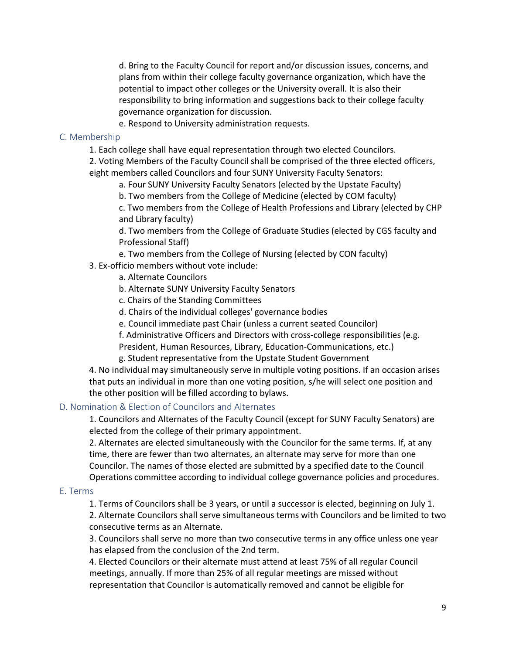d. Bring to the Faculty Council for report and/or discussion issues, concerns, and plans from within their college faculty governance organization, which have the potential to impact other colleges or the University overall. It is also their responsibility to bring information and suggestions back to their college faculty governance organization for discussion.

e. Respond to University administration requests.

#### C. Membership

1. Each college shall have equal representation through two elected Councilors.

2. Voting Members of the Faculty Council shall be comprised of the three elected officers, eight members called Councilors and four SUNY University Faculty Senators:

a. Four SUNY University Faculty Senators (elected by the Upstate Faculty)

b. Two members from the College of Medicine (elected by COM faculty)

c. Two members from the College of Health Professions and Library (elected by CHP and Library faculty)

d. Two members from the College of Graduate Studies (elected by CGS faculty and Professional Staff)

- e. Two members from the College of Nursing (elected by CON faculty)
- 3. Ex-officio members without vote include:
	- a. Alternate Councilors
	- b. Alternate SUNY University Faculty Senators
	- c. Chairs of the Standing Committees
	- d. Chairs of the individual colleges' governance bodies
	- e. Council immediate past Chair (unless a current seated Councilor)
	- f. Administrative Officers and Directors with cross-college responsibilities (e.g.

President, Human Resources, Library, Education-Communications, etc.)

g. Student representative from the Upstate Student Government

4. No individual may simultaneously serve in multiple voting positions. If an occasion arises that puts an individual in more than one voting position, s/he will select one position and the other position will be filled according to bylaws.

#### D. Nomination & Election of Councilors and Alternates

1. Councilors and Alternates of the Faculty Council (except for SUNY Faculty Senators) are elected from the college of their primary appointment.

2. Alternates are elected simultaneously with the Councilor for the same terms. If, at any time, there are fewer than two alternates, an alternate may serve for more than one Councilor. The names of those elected are submitted by a specified date to the Council Operations committee according to individual college governance policies and procedures.

#### E. Terms

1. Terms of Councilors shall be 3 years, or until a successor is elected, beginning on July 1.

2. Alternate Councilors shall serve simultaneous terms with Councilors and be limited to two consecutive terms as an Alternate.

3. Councilors shall serve no more than two consecutive terms in any office unless one year has elapsed from the conclusion of the 2nd term.

4. Elected Councilors or their alternate must attend at least 75% of all regular Council meetings, annually. If more than 25% of all regular meetings are missed without representation that Councilor is automatically removed and cannot be eligible for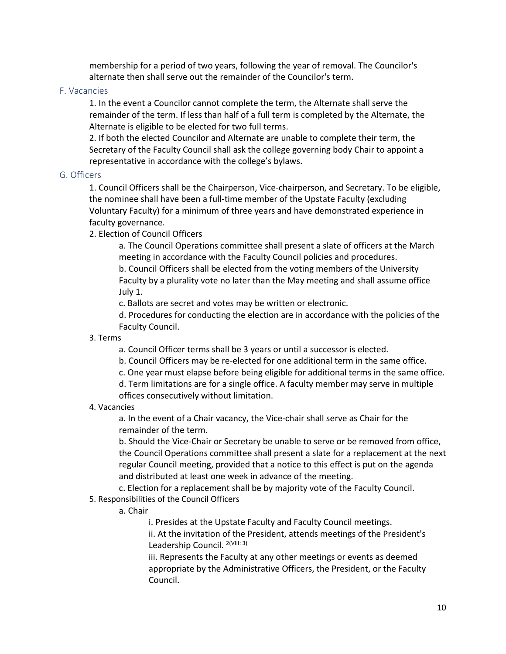membership for a period of two years, following the year of removal. The Councilor's alternate then shall serve out the remainder of the Councilor's term.

#### F. Vacancies

1. In the event a Councilor cannot complete the term, the Alternate shall serve the remainder of the term. If less than half of a full term is completed by the Alternate, the Alternate is eligible to be elected for two full terms.

2. If both the elected Councilor and Alternate are unable to complete their term, the Secretary of the Faculty Council shall ask the college governing body Chair to appoint a representative in accordance with the college's bylaws.

#### G. Officers

1. Council Officers shall be the Chairperson, Vice-chairperson, and Secretary. To be eligible, the nominee shall have been a full-time member of the Upstate Faculty (excluding Voluntary Faculty) for a minimum of three years and have demonstrated experience in faculty governance.

2. Election of Council Officers

a. The Council Operations committee shall present a slate of officers at the March meeting in accordance with the Faculty Council policies and procedures.

b. Council Officers shall be elected from the voting members of the University Faculty by a plurality vote no later than the May meeting and shall assume office July 1.

c. Ballots are secret and votes may be written or electronic.

d. Procedures for conducting the election are in accordance with the policies of the Faculty Council.

3. Terms

a. Council Officer terms shall be 3 years or until a successor is elected.

- b. Council Officers may be re-elected for one additional term in the same office.
- c. One year must elapse before being eligible for additional terms in the same office.

d. Term limitations are for a single office. A faculty member may serve in multiple offices consecutively without limitation.

4. Vacancies

a. In the event of a Chair vacancy, the Vice-chair shall serve as Chair for the remainder of the term.

b. Should the Vice-Chair or Secretary be unable to serve or be removed from office, the Council Operations committee shall present a slate for a replacement at the next regular Council meeting, provided that a notice to this effect is put on the agenda and distributed at least one week in advance of the meeting.

c. Election for a replacement shall be by majority vote of the Faculty Council.

### 5. Responsibilities of the Council Officers

a. Chair

i. Presides at the Upstate Faculty and Faculty Council meetings.

ii. At the invitation of the President, attends meetings of the President's Leadership Council. <sup>2(VIII: 3)</sup>

iii. Represents the Faculty at any other meetings or events as deemed appropriate by the Administrative Officers, the President, or the Faculty Council.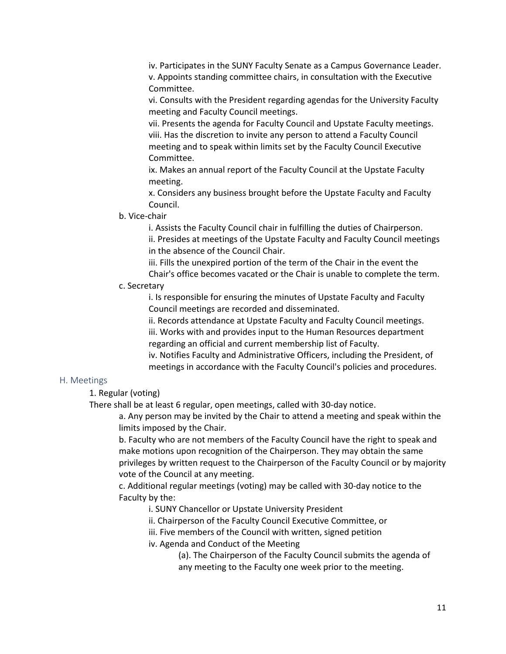iv. Participates in the SUNY Faculty Senate as a Campus Governance Leader. v. Appoints standing committee chairs, in consultation with the Executive Committee.

vi. Consults with the President regarding agendas for the University Faculty meeting and Faculty Council meetings.

vii. Presents the agenda for Faculty Council and Upstate Faculty meetings. viii. Has the discretion to invite any person to attend a Faculty Council meeting and to speak within limits set by the Faculty Council Executive Committee.

ix. Makes an annual report of the Faculty Council at the Upstate Faculty meeting.

x. Considers any business brought before the Upstate Faculty and Faculty Council.

#### b. Vice-chair

i. Assists the Faculty Council chair in fulfilling the duties of Chairperson. ii. Presides at meetings of the Upstate Faculty and Faculty Council meetings in the absence of the Council Chair.

iii. Fills the unexpired portion of the term of the Chair in the event the Chair's office becomes vacated or the Chair is unable to complete the term.

### c. Secretary

i. Is responsible for ensuring the minutes of Upstate Faculty and Faculty Council meetings are recorded and disseminated.

ii. Records attendance at Upstate Faculty and Faculty Council meetings.

iii. Works with and provides input to the Human Resources department regarding an official and current membership list of Faculty.

iv. Notifies Faculty and Administrative Officers, including the President, of meetings in accordance with the Faculty Council's policies and procedures.

#### H. Meetings

1. Regular (voting)

There shall be at least 6 regular, open meetings, called with 30-day notice.

a. Any person may be invited by the Chair to attend a meeting and speak within the limits imposed by the Chair.

b. Faculty who are not members of the Faculty Council have the right to speak and make motions upon recognition of the Chairperson. They may obtain the same privileges by written request to the Chairperson of the Faculty Council or by majority vote of the Council at any meeting.

c. Additional regular meetings (voting) may be called with 30-day notice to the Faculty by the:

i. SUNY Chancellor or Upstate University President

ii. Chairperson of the Faculty Council Executive Committee, or

iii. Five members of the Council with written, signed petition

iv. Agenda and Conduct of the Meeting

(a). The Chairperson of the Faculty Council submits the agenda of any meeting to the Faculty one week prior to the meeting.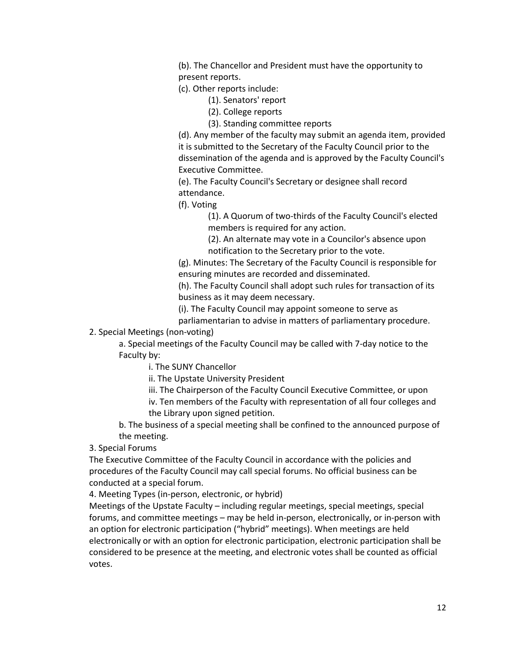(b). The Chancellor and President must have the opportunity to present reports.

(c). Other reports include:

(1). Senators' report

(2). College reports

(3). Standing committee reports

(d). Any member of the faculty may submit an agenda item, provided it is submitted to the Secretary of the Faculty Council prior to the dissemination of the agenda and is approved by the Faculty Council's Executive Committee.

(e). The Faculty Council's Secretary or designee shall record attendance.

(f). Voting

(1). A Quorum of two-thirds of the Faculty Council's elected members is required for any action.

(2). An alternate may vote in a Councilor's absence upon notification to the Secretary prior to the vote.

(g). Minutes: The Secretary of the Faculty Council is responsible for ensuring minutes are recorded and disseminated.

(h). The Faculty Council shall adopt such rules for transaction of its business as it may deem necessary.

(i). The Faculty Council may appoint someone to serve as

parliamentarian to advise in matters of parliamentary procedure.

2. Special Meetings (non-voting)

a. Special meetings of the Faculty Council may be called with 7-day notice to the Faculty by:

i. The SUNY Chancellor

ii. The Upstate University President

iii. The Chairperson of the Faculty Council Executive Committee, or upon

iv. Ten members of the Faculty with representation of all four colleges and the Library upon signed petition.

b. The business of a special meeting shall be confined to the announced purpose of the meeting.

3. Special Forums

The Executive Committee of the Faculty Council in accordance with the policies and procedures of the Faculty Council may call special forums. No official business can be conducted at a special forum.

4. Meeting Types (in-person, electronic, or hybrid)

Meetings of the Upstate Faculty – including regular meetings, special meetings, special forums, and committee meetings – may be held in-person, electronically, or in-person with an option for electronic participation ("hybrid" meetings). When meetings are held electronically or with an option for electronic participation, electronic participation shall be considered to be presence at the meeting, and electronic votes shall be counted as official votes.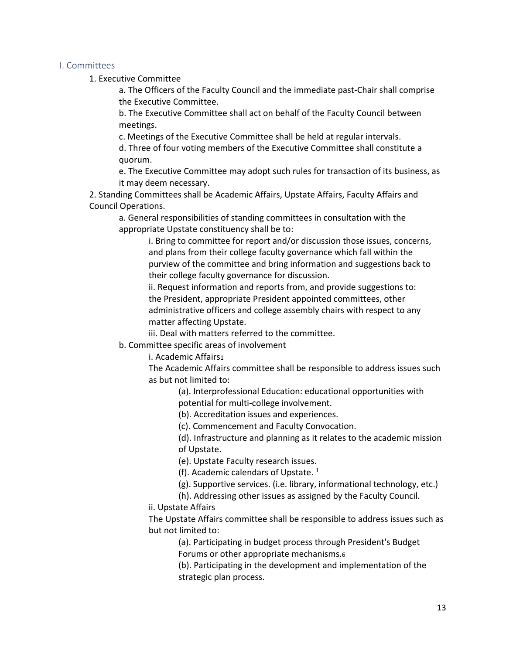#### I. Committees

1. Executive Committee

a. The Officers of the Faculty Council and the immediate past-Chair shall comprise the Executive Committee.

b. The Executive Committee shall act on behalf of the Faculty Council between meetings.

c. Meetings of the Executive Committee shall be held at regular intervals.

d. Three of four voting members of the Executive Committee shall constitute a quorum.

e. The Executive Committee may adopt such rules for transaction of its business, as it may deem necessary.

2. Standing Committees shall be Academic Affairs, Upstate Affairs, Faculty Affairs and Council Operations.

a. General responsibilities of standing committees in consultation with the appropriate Upstate constituency shall be to:

i. Bring to committee for report and/or discussion those issues, concerns, and plans from their college faculty governance which fall within the purview of the committee and bring information and suggestions back to their college faculty governance for discussion.

ii. Request information and reports from, and provide suggestions to: the President, appropriate President appointed committees, other administrative officers and college assembly chairs with respect to any matter affecting Upstate.

iii. Deal with matters referred to the committee.

b. Committee specific areas of involvement

i. Academic Affairs1

The Academic Affairs committee shall be responsible to address issues such as but not limited to:

> (a). Interprofessional Education: educational opportunities with potential for multi-college involvement.

(b). Accreditation issues and experiences.

(c). Commencement and Faculty Convocation.

(d). Infrastructure and planning as it relates to the academic mission of Upstate.

(e). Upstate Faculty research issues.

(f). Academic calendars of Upstate.  $1$ 

(g). Supportive services. (i.e. library, informational technology, etc.)

(h). Addressing other issues as assigned by the Faculty Council.

ii. Upstate Affairs

The Upstate Affairs committee shall be responsible to address issues such as but not limited to:

(a). Participating in budget process through President's Budget Forums or other appropriate mechanisms.6

(b). Participating in the development and implementation of the strategic plan process.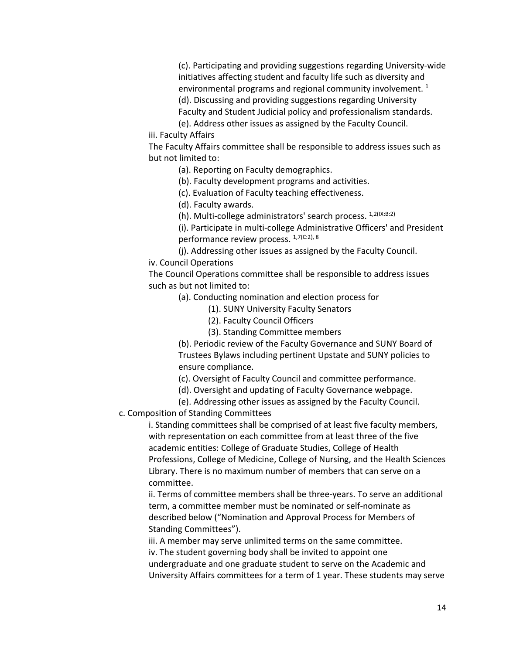(c). Participating and providing suggestions regarding University-wide initiatives affecting student and faculty life such as diversity and environmental programs and regional community involvement.  $1$ 

(d). Discussing and providing suggestions regarding University

Faculty and Student Judicial policy and professionalism standards.

(e). Address other issues as assigned by the Faculty Council.

iii. Faculty Affairs

The Faculty Affairs committee shall be responsible to address issues such as but not limited to:

(a). Reporting on Faculty demographics.

(b). Faculty development programs and activities.

(c). Evaluation of Faculty teaching effectiveness.

(d). Faculty awards.

(h). Multi-college administrators' search process. 1,2(IX:B:2)

(i). Participate in multi-college Administrative Officers' and President performance review process. 1,7(C:2), 8

(j). Addressing other issues as assigned by the Faculty Council.

iv. Council Operations

The Council Operations committee shall be responsible to address issues such as but not limited to:

(a). Conducting nomination and election process for

- (1). SUNY University Faculty Senators
- (2). Faculty Council Officers
- (3). Standing Committee members

(b). Periodic review of the Faculty Governance and SUNY Board of Trustees Bylaws including pertinent Upstate and SUNY policies to ensure compliance.

(c). Oversight of Faculty Council and committee performance.

(d). Oversight and updating of Faculty Governance webpage.

(e). Addressing other issues as assigned by the Faculty Council.

c. Composition of Standing Committees

i. Standing committees shall be comprised of at least five faculty members, with representation on each committee from at least three of the five academic entities: College of Graduate Studies, College of Health Professions, College of Medicine, College of Nursing, and the Health Sciences Library. There is no maximum number of members that can serve on a committee.

ii. Terms of committee members shall be three-years. To serve an additional term, a committee member must be nominated or self-nominate as described below ("Nomination and Approval Process for Members of Standing Committees").

iii. A member may serve unlimited terms on the same committee.

iv. The student governing body shall be invited to appoint one

undergraduate and one graduate student to serve on the Academic and University Affairs committees for a term of 1 year. These students may serve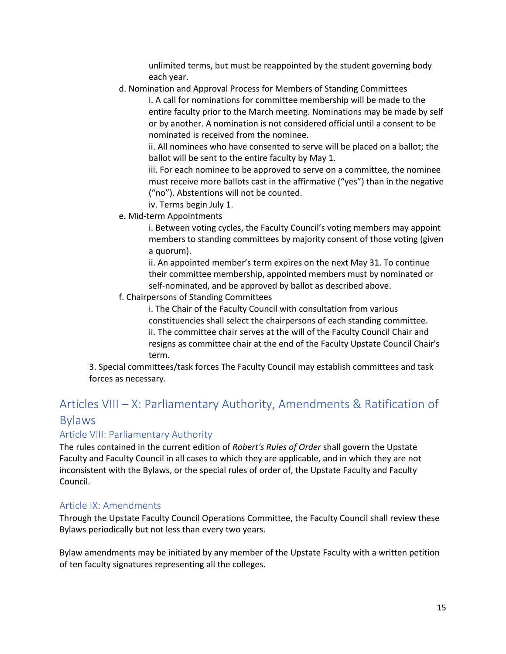unlimited terms, but must be reappointed by the student governing body each year.

d. Nomination and Approval Process for Members of Standing Committees

i. A call for nominations for committee membership will be made to the entire faculty prior to the March meeting. Nominations may be made by self or by another. A nomination is not considered official until a consent to be nominated is received from the nominee.

ii. All nominees who have consented to serve will be placed on a ballot; the ballot will be sent to the entire faculty by May 1.

iii. For each nominee to be approved to serve on a committee, the nominee must receive more ballots cast in the affirmative ("yes") than in the negative ("no"). Abstentions will not be counted.

- iv. Terms begin July 1.
- e. Mid-term Appointments

i. Between voting cycles, the Faculty Council's voting members may appoint members to standing committees by majority consent of those voting (given a quorum).

ii. An appointed member's term expires on the next May 31. To continue their committee membership, appointed members must by nominated or self-nominated, and be approved by ballot as described above.

f. Chairpersons of Standing Committees

i. The Chair of the Faculty Council with consultation from various constituencies shall select the chairpersons of each standing committee. ii. The committee chair serves at the will of the Faculty Council Chair and resigns as committee chair at the end of the Faculty Upstate Council Chair's term.

3. Special committees/task forces The Faculty Council may establish committees and task forces as necessary.

# Articles VIII – X: Parliamentary Authority, Amendments & Ratification of Bylaws

## <span id="page-15-0"></span>Article VIII: Parliamentary Authority

The rules contained in the current edition of *Robert's Rules of Order* shall govern the Upstate Faculty and Faculty Council in all cases to which they are applicable, and in which they are not inconsistent with the Bylaws, or the special rules of order of, the Upstate Faculty and Faculty Council.

## <span id="page-15-1"></span>Article IX: Amendments

Through the Upstate Faculty Council Operations Committee, the Faculty Council shall review these Bylaws periodically but not less than every two years.

Bylaw amendments may be initiated by any member of the Upstate Faculty with a written petition of ten faculty signatures representing all the colleges.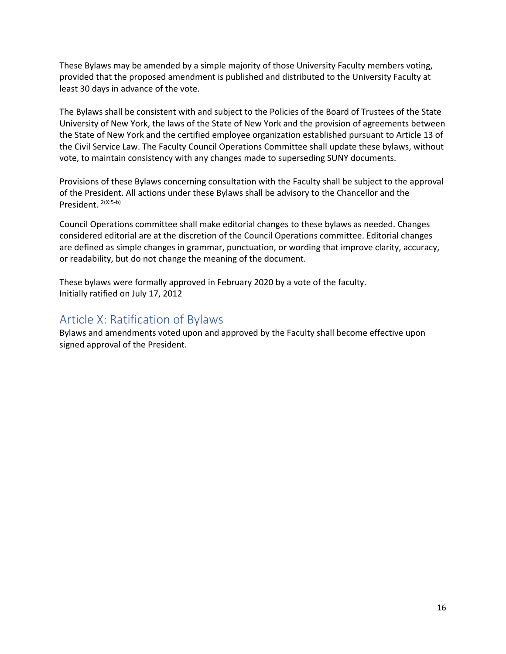These Bylaws may be amended by a simple majority of those University Faculty members voting, provided that the proposed amendment is published and distributed to the University Faculty at least 30 days in advance of the vote.

The Bylaws shall be consistent with and subject to the Policies of the Board of Trustees of the State University of New York, the laws of the State of New York and the provision of agreements between the State of New York and the certified employee organization established pursuant to Article 13 of the Civil Service Law. The Faculty Council Operations Committee shall update these bylaws, without vote, to maintain consistency with any changes made to superseding SUNY documents.

Provisions of these Bylaws concerning consultation with the Faculty shall be subject to the approval of the President. All actions under these Bylaws shall be advisory to the Chancellor and the President. 2(X:5-b)

Council Operations committee shall make editorial changes to these bylaws as needed. Changes considered editorial are at the discretion of the Council Operations committee. Editorial changes are defined as simple changes in grammar, punctuation, or wording that improve clarity, accuracy, or readability, but do not change the meaning of the document.

These bylaws were formally approved in February 2020 by a vote of the faculty. Initially ratified on July 17, 2012

# <span id="page-16-0"></span>Article X: Ratification of Bylaws

Bylaws and amendments voted upon and approved by the Faculty shall become effective upon signed approval of the President.